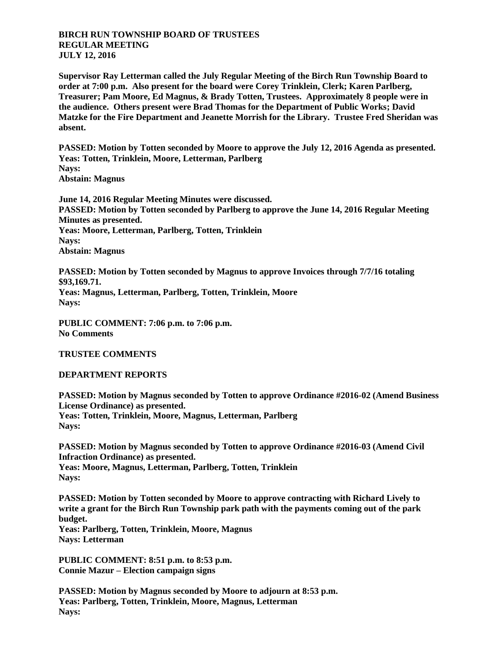## **BIRCH RUN TOWNSHIP BOARD OF TRUSTEES REGULAR MEETING JULY 12, 2016**

**Supervisor Ray Letterman called the July Regular Meeting of the Birch Run Township Board to order at 7:00 p.m. Also present for the board were Corey Trinklein, Clerk; Karen Parlberg, Treasurer; Pam Moore, Ed Magnus, & Brady Totten, Trustees. Approximately 8 people were in the audience. Others present were Brad Thomas for the Department of Public Works; David Matzke for the Fire Department and Jeanette Morrish for the Library. Trustee Fred Sheridan was absent.**

**PASSED: Motion by Totten seconded by Moore to approve the July 12, 2016 Agenda as presented. Yeas: Totten, Trinklein, Moore, Letterman, Parlberg Nays: Abstain: Magnus**

**June 14, 2016 Regular Meeting Minutes were discussed. PASSED: Motion by Totten seconded by Parlberg to approve the June 14, 2016 Regular Meeting Minutes as presented. Yeas: Moore, Letterman, Parlberg, Totten, Trinklein Nays: Abstain: Magnus**

**PASSED: Motion by Totten seconded by Magnus to approve Invoices through 7/7/16 totaling \$93,169.71. Yeas: Magnus, Letterman, Parlberg, Totten, Trinklein, Moore Nays:** 

**PUBLIC COMMENT: 7:06 p.m. to 7:06 p.m. No Comments**

**TRUSTEE COMMENTS**

**DEPARTMENT REPORTS**

**PASSED: Motion by Magnus seconded by Totten to approve Ordinance #2016-02 (Amend Business License Ordinance) as presented. Yeas: Totten, Trinklein, Moore, Magnus, Letterman, Parlberg Nays:** 

**PASSED: Motion by Magnus seconded by Totten to approve Ordinance #2016-03 (Amend Civil Infraction Ordinance) as presented. Yeas: Moore, Magnus, Letterman, Parlberg, Totten, Trinklein Nays:** 

**PASSED: Motion by Totten seconded by Moore to approve contracting with Richard Lively to write a grant for the Birch Run Township park path with the payments coming out of the park budget. Yeas: Parlberg, Totten, Trinklein, Moore, Magnus Nays: Letterman**

**PUBLIC COMMENT: 8:51 p.m. to 8:53 p.m. Connie Mazur – Election campaign signs**

**PASSED: Motion by Magnus seconded by Moore to adjourn at 8:53 p.m. Yeas: Parlberg, Totten, Trinklein, Moore, Magnus, Letterman Nays:**